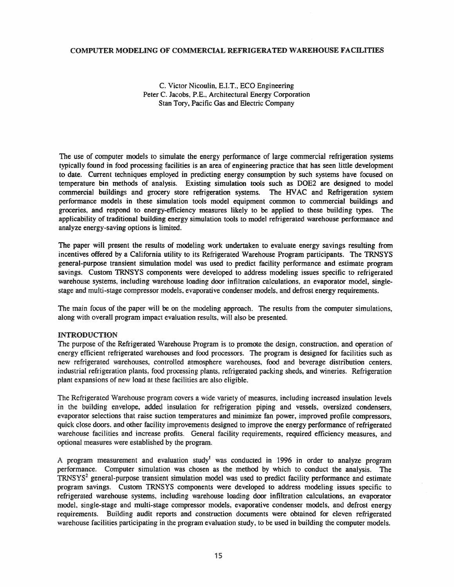## COMPUTER MODELING OF COMMERCIAL REFRIGERATED WAREHOUSE FACILITIES

C. Victor Nicoulin, E.I.T., ECO Engineering Peter C. Jacobs, P.E., Architectural Energy Corporation Stan Tory, Pacific Gas and Electric Company

The use of computer models to simulate the energy performance of large commercial refrigeration systems typically found in food processing facilities is an area of engineering practice that has seen little development to date. Current techniques employed in predicting energy consumption by such systems have focused on temperature bin methods of analysis. Existing simulation tools such as DOE2 are designed to model commercial buildings and grocery store refrigeration systems. The HVAC and Refrigeration system performance models in these simulation tools model equipment common to commercial buildings and groceries, and respond to energy-efficiency measures likely to be applied to these building types. The applicability of traditional building energy simulation tools to model refrigerated warehouse performance and analyze energy-saving options is limited.

The paper will present the results of modeling work undertaken to evaluate energy savings resulting from incentives offered by a California utility to its Refrigerated Warehouse Program participants. The TRNSYS general-purpose transient simulation model was used to predict facility performance and estimate program savings. Custom TRNSYS components were developed to address modeling issues specific to refrigerated warehouse systems, including warehouse loading door infiltration calculations, an evaporator model, singlestage and multi-stage compressor models, evaporative condenser models, and defrost energy requirements.

The main focus of the paper will be on the modeling approach. The results from the computer simulations, along with overall program impact evaluation results, will also be presented.

## INTRODUCTION

The purpose of the Refrigerated Warehouse Program is to promote the design, construction, and operation of energy efficient refrigerated warehouses and food processors. The program is designed for facilities such as new refrigerated warehouses, controlled atmosphere warehouses, food and beverage distribution centers, industrial refrigeration plants, food processing plants, refrigerated packing sheds, and wineries. Refrigeration plant expansions of new load at these facilities are also eligible.

The Refrigerated Warehouse program covers a wide variety of measures, including increased insulation levels in the building envelope, added insulation for refrigeration piping and vessels, oversized condensers, evaporator selections that raise suction temperatures and minimize fan power, improved profile compressors, quick close doors, and other facility improvements designed to improve the energy performance of refrigerated warehouse facilities and increase profits. General facility requirements, required efficiency measures, and optional measures were established by the program.

A program measurement and evaluation study<sup>1</sup> was conducted in 1996 in order to analyze program performance. Computer simulation was chosen as the method by which to conduct the analysis. The  $TRNSYS<sup>2</sup>$  general-purpose transient simulation model was used to predict facility performance and estimate program savings. Custom TRNSYS components were developed to address modeling issues specific to refrigerated warehouse systems, including warehouse loading door infiltration calculations, an evaporator model, single-stage and multi-stage compressor models, evaporative condenser models, and defrost energy requirements. Building audit reports and construction documents were obtained for eleven refrigerated warehouse facilities participating in the program evaluation study, to be used in building the computer models.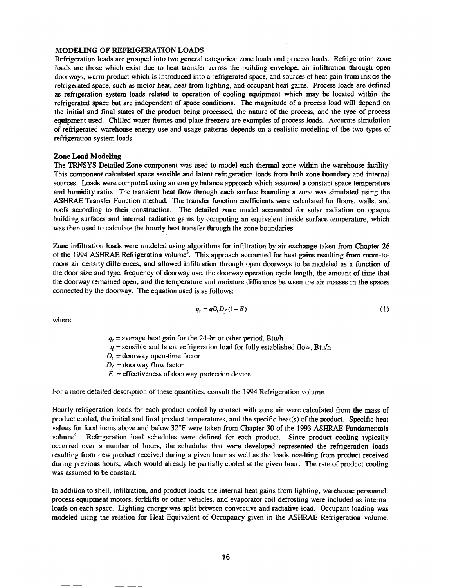## MODELING OF REFRIGERATION LOADS

Refrigeration loads are grouped into two general categories: zone loads and process loads. Refrigeration zone loads are those which exist due to heat transfer across the building envelope, air infiltration through open doorways, warm product which is introduced into a refrigerated space, and sources of heat gain from inside the refrigerated space, such as motor heat, heat from lighting, and occupant heat gains. Process loads are defined as refrigeration system loads related to operation of cooling equipment which may be located within the refrigerated space but are independent of space conditions. The magnitude of a process load will depend on the initial and final states of the product being processed, the nature of the process, and the type of process equipment used. Chilled water flumes and plate freezers are examples of process loads. Accurate simulation of refrigerated warehouse energy use and usage patterns depends on a realistic modeling of the two types of refrigeration system loads.

#### Zone Load Modeling

The TRNSYS Detailed Zone component was used to model each thermal zone within the warehouse facility. -This component calculated space sensible and latent refrigeration loads from both zone boundary and internal sources. Loads were computed using an energy balance approach which assumed a constant space temperature and humidity ratio. The transient heat flow through each surface bounding a zone was simulated using the ASHRAE Transfer Function method. The transfer function coefficients were calculated for floors, walls, and roofs according to their construction. The detailed zone model accounted for solar radiation on opaque building surfaces and internal radiative gains by computing an equivalent inside surface temperature, which was then used to calculate the hourly heat transfer through the zone boundaries.

Zone infiltration loads were modeled using algorithms for infiltration by air exchange taken from Chapter 26 of the 1994 ASHRAE Refrigeration volume<sup>3</sup>. This approach accounted for heat gains resulting from room-toroom air density differences, and aHowed infiltration through open doorways to be modeled as a function of the door size and type, frequency of doorway use, the doorway operation cycle length, the amount of time that the doorway remained open, and the temperature and moisture difference between the air masses in the spaces connected by the doorway. The equation used is as follows:

$$
q_t = qD_t D_f (1 - E) \tag{1}
$$

where

 $q_t$  = average heat gain for the 24-hr or other period, Btu/h  $q$  = sensible and latent refrigeration load for fully established flow, Btu/h  $D<sub>r</sub>$  = doorway open-time factor  $D_f$  = doorway flow factor  $E =$  effectiveness of doorway protection device

For a more detailed description of these quantities, consult the 1994 Refrigeration volume.

Hourly refrigeration loads for each product cooled by contact with zone air were calculated from the mass of product cooled, the initial and final product temperatures, and the specific heat(s) of the product. Specific heat values for food items above and below 32°F were taken from Chapter 30 of the 1993 ASHRAE Fundamentals volume<sup>4</sup>. Refrigeration load schedules were defined for each product. Since product cooling typically occurred over a number of hours, the schedules that were developed represented the refrigeration loads resulting from new product received during a given hour as well as the loads resulting from product received during previous hours, which would already be partially cooled at the given hour. The rate of product cooling was assumed to be constant.

In addition to shell, infiltration, and product loads, the internal heat gains from lighting, warehouse personnel, process equipment motors, forklifts or other vehicles, and evaporator coil defrosting were included as internal loads on each space. Lighting energy was split between convective and radiative load. Occupant loading was modeled using the relation for Heat Equivalent of Occupancy given in the ASHRAE Refrigeration volume.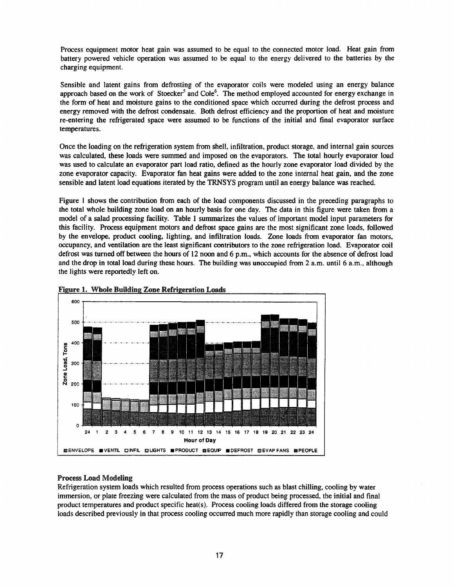Process equipment motor heat gain was assumed to be equal to the connected motor load. Heat gain from battery powered vehicle operation was assumed to be equal to the energy delivered to the batteries by the charging equipment.

Sensible and latent gains from defrosting of the evaporator coils were modeled using an energy balance approach based on the work of Stoecker<sup>5</sup> and Cole<sup>6</sup>. The method employed accounted for energy exchange in the form of heat and moisture gains to the conditioned space which occurred during the defrost process and energy removed with the defrost condensate. Both defrost efficiency and the proportion of heat and moisture re-entering the refrigerated space were assumed to be functions of the initial and final evaporator surface temperatures.

Once the loading on the refrigeration system from shell, infiltration, product storage, and internal gain sources was calculated, these loads were summed and imposed on the evaporators. The total hourly evaporator load was used to calculate an evaporator part load ratio, defined as the hourly zone evaporator load divided by the zone evaporator capacity. Evaporator fan heat gains were added to the zone internal heat gain, and the zone sensible and latent load equations iterated by the TRNSYS program until an energy balance was reached.

Figure I shows the contribution from each of the load components discussed in the preceding paragraphs to the total whole building zone load on an hourly basis for one day. The data in this figure were taken from a model of a salad processing facility. Table 1 summarizes the values of important model input parameters for this facility. Process equipment motors and defrost space gains are the most significant zone loads, followed by the envelope, product cooling, lighting, and infiltration loads. Zone loads from evaporator fan motors, occupancy, and ventilation are the least significant contributors to the zone refrigeration load. Evaporator coil defrost was turned off between the hours of 12 noon and 6 p.m., which accounts for the absence of defrost load and the drop in total load during these hours. The building was unoccupied from 2 a.m. until 6 a.m., although the lights were reportedly left on.





# Process Load Modeling

Refrigeration system loads which resulted from process operations such as blast chilling, cooling by water immersion, or plate freezing were calculated from the mass of product being processed, the initial and final product temperatures and product specific heat(s). Process cooling loads differed from the storage cooling loads described previously in that process cooling occurred much more rapidly than storage cooling and could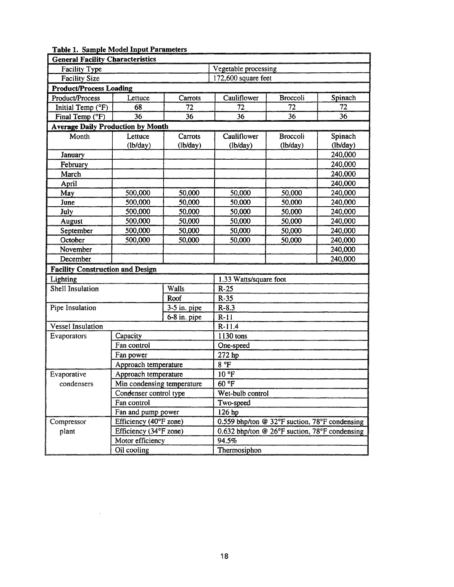| Table 1. Sample Model Input Parameters   |                            |                |                                               |                      |          |  |  |
|------------------------------------------|----------------------------|----------------|-----------------------------------------------|----------------------|----------|--|--|
| <b>General Facility Characteristics</b>  |                            |                |                                               |                      |          |  |  |
| Facility Type                            |                            |                |                                               | Vegetable processing |          |  |  |
| <b>Facility Size</b>                     |                            |                | 172,600 square feet                           |                      |          |  |  |
| <b>Product/Process Loading</b>           |                            |                |                                               |                      |          |  |  |
| Product/Process                          | Lettuce                    | Carrots        | Cauliflower                                   | <b>Broccoli</b>      | Spinach  |  |  |
| Initial Temp (°F)                        | 68                         | 72             | 72                                            | 72                   | 72       |  |  |
| Final Temp (°F)                          | 36                         | 36             | 36                                            | 36                   | 36       |  |  |
| <b>Average Daily Production by Month</b> |                            |                |                                               |                      |          |  |  |
| Month                                    | Lettuce                    | Carrots        | Cauliflower                                   | <b>Broccoli</b>      | Spinach  |  |  |
|                                          | (lb/day)                   | (lb/day)       | (lb/day)                                      | (lb/day)             | (lb/day) |  |  |
| January                                  |                            |                |                                               |                      | 240,000  |  |  |
| February                                 |                            |                |                                               |                      | 240,000  |  |  |
| March                                    |                            |                |                                               |                      | 240,000  |  |  |
| April                                    |                            |                |                                               |                      | 240,000  |  |  |
| May                                      | 500,000                    | 50,000         | 50,000                                        | 50,000               | 240,000  |  |  |
| June                                     | 500,000                    | 50,000         | 50,000                                        | 50,000               | 240,000  |  |  |
| July                                     | 500,000                    | 50,000         | 50,000                                        | 50,000               | 240,000  |  |  |
| August                                   | 500,000                    | 50,000         | 50,000                                        | 50,000               | 240,000  |  |  |
| September                                | 500,000                    | 50,000         | 50,000                                        | 50,000               | 240,000  |  |  |
| October                                  | 500,000                    | 50,000         | 50,000                                        | 50,000               | 240,000  |  |  |
| November                                 |                            |                |                                               |                      | 240,000  |  |  |
| December                                 |                            |                |                                               |                      | 240,000  |  |  |
| <b>Facility Construction and Design</b>  |                            |                |                                               |                      |          |  |  |
| Lighting                                 |                            |                | 1.33 Watts/square foot                        |                      |          |  |  |
| <b>Shell Insulation</b>                  |                            | Walls          | $R-25$                                        |                      |          |  |  |
|                                          |                            | Roof           | $R-35$                                        |                      |          |  |  |
| Pipe Insulation                          |                            | $3-5$ in. pipe | $R-8.3$                                       |                      |          |  |  |
|                                          |                            | 6-8 in. pipe   | $R-11$                                        |                      |          |  |  |
| Vessel Insulation                        |                            |                | $R-11.4$                                      |                      |          |  |  |
| Evaporators                              | Capacity                   |                | 1130 tons                                     |                      |          |  |  |
|                                          | Fan control                |                | One-speed                                     |                      |          |  |  |
|                                          | Fan power                  |                | 272 hp                                        |                      |          |  |  |
|                                          | Approach temperature       |                | 8 °F                                          |                      |          |  |  |
| Evaporative                              | Approach temperature       |                | 10 °F                                         |                      |          |  |  |
| condensers                               | Min condensing temperature |                | 60 °F                                         |                      |          |  |  |
|                                          | Condenser control type     |                | Wet-bulb control                              |                      |          |  |  |
|                                          | Fan control                |                | Two-speed                                     |                      |          |  |  |
|                                          | Fan and pump power         |                | 126 hp                                        |                      |          |  |  |
| Compressor                               | Efficiency (40°F zone)     |                | 0.559 bhp/ton @ 32°F suction, 78°F condensing |                      |          |  |  |
| plant                                    | Efficiency (34°F zone)     |                | 0.632 bhp/ton @ 26°F suction, 78°F condensing |                      |          |  |  |
|                                          | Motor efficiency           |                | 94.5%                                         |                      |          |  |  |
|                                          | Oil cooling                |                | Thermosiphon                                  |                      |          |  |  |

# Table 1. Sample Model Input Parameters

 $\bar{z}$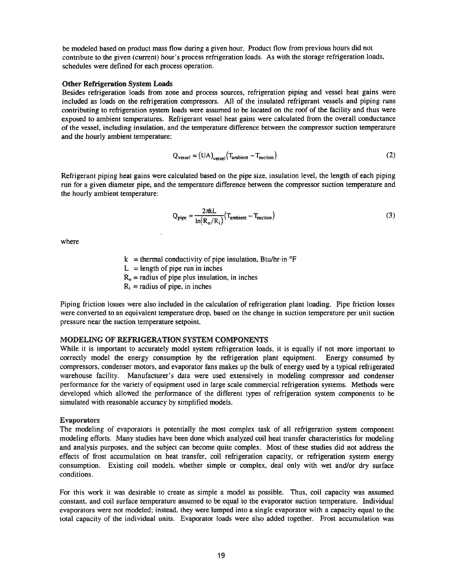be modeled based on product mass flow during a given hour. Product flow from previous hours did not contribute to the given (current) hour's process refrigeration loads. As with the storage refrigeration loads, schedules were defined for each process operation.

#### Other Refrigeration System Loads

Besides refrigeration loads from zone and process sources, refrigeration piping and vessel heat gains were included as loads on the refrigeration compressors. All of the insulated refrigerant vessels and piping runs contributing to refrigeration system loads were assumed to be located on the roof of the facility and thus were exposed to ambient temperatures. Refrigerant vessel heat gains were calculated from the overall conductance of the vessel, including insulation, and the temperature difference between the compressor suction temperature and the hourly ambient temperature:

$$
Q_{\text{vessel}} = (UA)_{\text{vessel}} (T_{\text{ambient}} - T_{\text{suction}}) \tag{2}
$$

Refrigerant piping heat gains were calculated based on the pipe size, insulation level, the length of each piping run for a given diameter pipe, and the temperature difference between the compressor suction temperature and the hourly ambient temperature:

$$
Q_{pipe} = \frac{2\pi kL}{\ln(R_o/R_i)} (T_{ambient} - T_{suction})
$$
 (3)

where

 $k =$ thermal conductivity of pipe insulation, Btu/hr·in· $\textdegree$ F

 $L =$ length of pipe run in inches

 $R<sub>o</sub>$  = radius of pipe plus insulation, in inches

 $R_i$  = radius of pipe, in inches

Piping friction losses were also included in the calculation of refrigeration plant loading. Pipe friction losses were converted to an equivalent temperature drop, based on the change in suction temperature per unit suction pressure near the suction temperature setpoint.

## MODELING OF REFRIGERATION SYSTEM COMPONENTS

While it is important to accurately model system refrigeration loads, it is equally if not more important to correctly model the energy consumption by the refrigeration plant equipment. Energy consumed by compressors, condenser motors, and evaporator fans makes up the bulk of energy used by a typical refrigerated warehouse facility. Manufacturer's data were used extensively in modeling compressor and condenser performance for the variety of equipment used in large scale commercial refrigeration systems. Methods were developed which allowed the performance of the different types of refrigeration system components to be simulated with reasonable accuracy by simplified models.

#### Evaporators

The modeling of evaporators is potentially the most complex task of all refrigeration system component modeling efforts. Many studies have been done which analyzed coil heat transfer characteristics for modeling and analysis purposes, and the subject can become quite complex. Most of these studies did not address the effects of frost accumulation on heat transfer, coil refrigeration capacity, or refrigeration system energy consumption. Existing coil models, whether simple or complex, deal only with wet and/or dry surface conditions.

For this work it was desirable to create as simple a model as possible. Thus, coil capacity was assumed constant, and coil surface temperature assumed to be equal to the evaporator suction temperature. Individual evaporators were not modeled; instead, they were lumped into a single evaporator with a capacity equal to the total capacity of the individual units. Evaporator loads were also added together. Frost accumulation was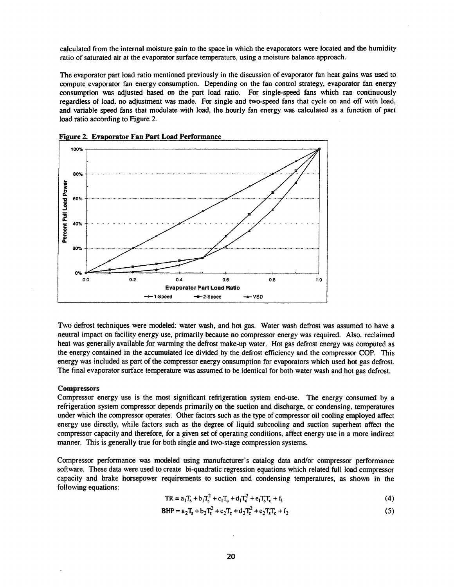calculated from the internal moisture gain to the space in which the evaporators were located and the humidity ratio of saturated air at the evaporator surface temperature, using a moisture balance approach.

The evaporator part load ratio mentioned previously in the discussion of evaporator fan heat gains was used to compute evaporator fan energy consumption. Depending on the fan control strategy, evaporator fan energy consumption was adjusted based on the part load ratio. For single-speed fans which ran continuously regardless of load. no adjustment was made. For single and two-speed fans that cycle on and off with load, and variable speed fans that modulate with load, the hourly fan energy was calculated as a function of part load ratio according to Figure 2.





Two defrost techniques were modeled: water wash, and hot gas. Water wash defrost was assumed to have a neutral impact on facility energy use, primarily because no compressor energy was required. Also, reclaimed heat was generally available for warming the defrost make-up water. Hot gas defrost energy was computed as the energy contained in the accumulated ice divided by the defrost efficiency and the compressor COP. This energy was included as part of the compressor energy consumption for evaporators which used hot gas defrost. The final evaporator surface temperature was assumed to be identical for both water wash and hot gas defrost.

#### **Compressors**

Compressor energy use is the most significant refrigeration system end-use. The energy consumed by a refrigeration system compressor depends primarily on the suction and discharge, or condensing, temperatures under which the compressor operates. Other factors such as the type of compressor oil cooling employed affect energy use directly, while factors such as the degree of liquid subcooling and suction superheat affect the compressor capacity and therefore, for a given set of operating conditions, affect energy use in a more indirect manner. This is generally true for both single and two-stage compression systems.

Compressor performance was modeled using manufacturer's catalog data and/or compressor performance software. These data were used to create bi-quadratic regression equations which related full load compressor capacity and brake horsepower requirements to suction and condensing temperatures, as shown in the following equations:

$$
TR = a_1T_s + b_1T_s^2 + c_1T_c + d_1T_c^2 + e_1T_sT_c + f_1
$$
\n(4)

$$
BHP = a_2 T_s + b_2 T_s^2 + c_2 T_c + d_2 T_c^2 + e_2 T_s T_c + f_2
$$
\n(5)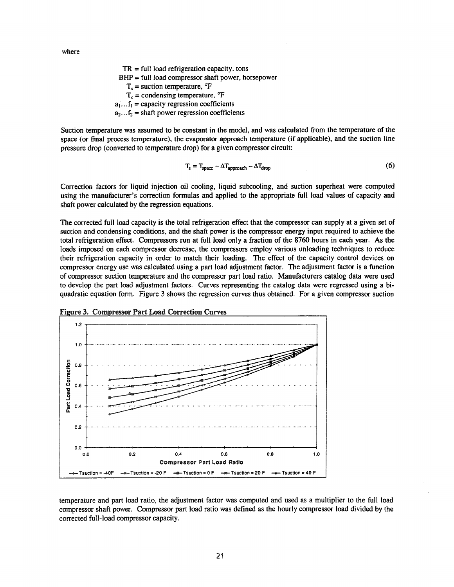where

 $TR = full load refrigerator capacity, tons$  $BHP = full load compressor shaft power, horsepower$  $T_s$  = suction temperature,  $\mathrm{P}F$  $T_c$  = condensing temperature,  $\mathrm{P}F$  $a_1 \dots f_1$  = capacity regression coefficients  $a_2...f_2$  = shaft power regression coefficients

Suction temperature was assumed to be constant in the model, and was calculated from the temperature of the space (or final process temperature), the evaporator approach temperature (if applicable), and the suction line pressure drop (converted to temperature drop) for a given compressor circuit:

$$
T_s = T_{space} - \Delta T_{approach} - \Delta T_{drop}
$$
 (6)

Correction factors for liquid injection oil cooling, liquid subcooling, and suction superheat were computed using the manufacturer's correction formulas and applied to the appropriate full load values of capacity and shaft power calculated by the regression equations.

The corrected full load capacity is the total refrigeration effect that the compressor can supply at a given set of suction and condensing conditions, and the shaft power is the compressor energy input required to achieve the total refrigeration effect. Compressors run at full load only a fraction of the 8760 hours in each year. As the loads imposed on each compressor decrease, the compressors employ various unloading techniques to reduce their refrigeration capacity in order to match their loading. The effect of the capacity control devices on compressor energy use was calculated using a part load adjustment factor. The adjustment factor is a function of compressor suction temperature and the compressor part load ratio. Manufacturers catalog data were used to develop the part load adjustment factors. Curves representing the catalog data were regressed using a biquadratic equation form. Figure 3 shows the regression curves thus obtained. For a given compressor suction





temperature and part load ratio, the adjustment factor was computed and used as a multiplier to the full load compressor shaft power. Compressor part load ratio was defined as the hourly compressor load divided by the corrected full-load compressor capacity.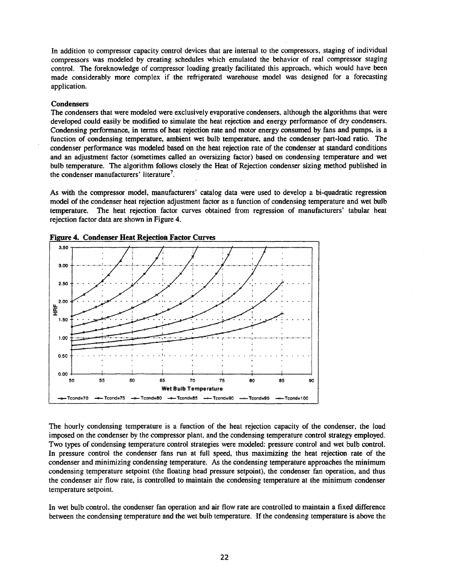In addition to compressor capacity control devices that are internal to the compressors, staging of individual compressors was modeled by creating schedules which emulated the behavior of real compressor staging control. The foreknowledge of compressor loading greatly facilitated this approach, which would have been made considerably more complex if the refrigerated warehouse model was designed for a forecasting application.

## **Condensers**

The condensers that were modeled were exclusively evaporative condensers, although the algorithms that were developed could easily be modified to simulate the heat rejection and energy performance of dry condensers. Condensing performance, in terms of heat rejection rate and motor energy consumed by fans and pumps, is a function of condensing temperature, ambient wet bulb temperature, and the condenser part-load ratio. The condenser performance was modeled based on the heat rejection rate of the condenser at standard conditions and an adjustment factor (sometimes called an oversizing factor) based on condensing temperature and wet bulb temperature. The algorithm follows closely the Heat of Rejection condenser sizing method published in the condenser manufacturers' literature<sup>7</sup>.

As with the compressor model, manufacturers' catalog data were used to develop a bi-quadratic regression model of the condenser heat rejection adjustment factor as a function of condensing temperature and wet bulb temperature. The heat rejection factor curves obtained from regression of manufacturers' tabular heat rejection factor data are shown in Figure 4.



**Figure 4. Condenser Heat Rejection Factor Curves** 

The hourly condensing temperature is a function of the heat rejection capacity of the condenser, the load imposed on the condenser by the compressor plant, and the condensing temperature control strategy employed. Two types of condensing temperature control strategies were modeled: pressure control and wet bulb control. In pressure control the condenser fans run at full speed, thus maximizing the heat rejection rate of the condenser and minimizing condensing temperature. As the condensing temperature approaches the minimum condensing temperature setpoint (the floating head pressure setpoint), the condenser fan operation, and thus the condenser air flow rate, is controlled to maintain the condensing temperature at the minimum condenser temperature setpoint.

In wet bulb control, the condenser fan operation and air flow rate are controlled to maintain a fixed difference between the condensing temperature and the wet bulb temperature. If the condensing temperature is above the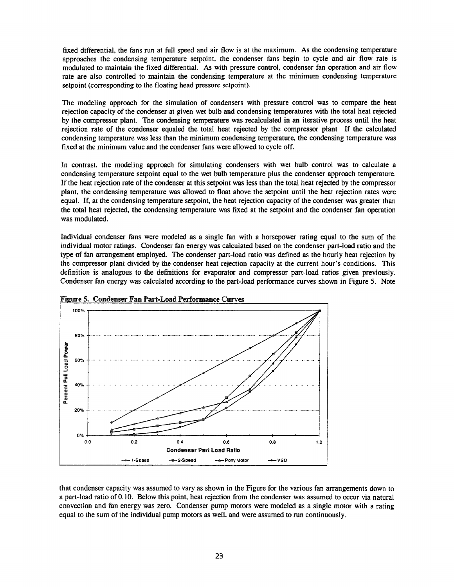fixed differential, the fans run at fulI speed and air flow is at the maximum. As the condensing temperature approaches the condensing temperature setpoint, the condenser fans begin to cycle and air flow rate is modulated to maintain the fixed differential. As with pressure control, condenser fan operation and air flow rate are also controlled to maintain the condensing temperature at the minimum condensing temperature setpoint (corresponding to the floating head pressure setpoint).

The modeling approach for the simulation of condensers with pressure control was to compare the heat rejection capacity of the condenser at given wet bulb and condensing temperatures with the total heat rejected by the compressor plant. The condensing temperature was recalculated in an iterative process until the heat rejection rate of the condenser equaled the total heat rejected by the compressor plant If the calculated condensing temperature was less than the minimum condensing temperature, the condensing temperature was fixed at the minimum value and the condenser fans were alIowed to cycle off.

In contrast, the modeling approach for simulating condensers with wet bulb control was to calculate a condensing temperature setpoint equal to the wet bulb temperature plus the condenser approach temperature. If the heat rejection rate of the condenser at this setpoint was less than the total heat rejected by the compressor plant, the condensing temperature was allowed to float above the setpoint until the heat rejection rates were equal. If, at the condensing temperature setpoint, the heat rejection capacity of the condenser was greater than the total heat rejected, the condensing temperature was fixed at the setpoint and the condenser fan operation was modulated.

Individual condenser fans were modeled as a single fan with a horsepower rating equal to the sum of the individual motor ratings. Condenser fan energy was calculated based on the condenser part-load ratio and the type of fan arrangement employed. The condenser part-load ratio was defined as the hourly heat rejection by the compressor plant divided by the condenser heat rejection capacity at the current hour's conditions. This definition is analogous to the definitions for evaporator and compressor part-load ratios given previously. Condenser fan energy was calculated according to the part-load performance curves shown in Figure 5. Note





that condenser capacity was assumed to vary as shown in the Figure for the various fan arrangements down to a part-load ratio of 0.10. Below this point, heat rejection from the condenser was assumed to occur via natural convection and fan energy was zero. Condenser pump motors were modeled as a single motor with a rating equal to the sum of the individual pump motors as well, and were assumed to run continuously.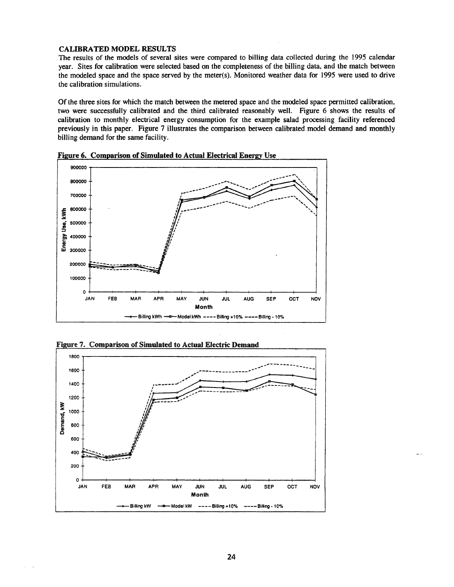## **CALIBRATED MODEL RESULTS**

The results of the models of several sites were compared to billing data collected during the 1995 calendar year. Sites for calibration were selected based on the completeness of the billing data, and the match between the modeled space and the space served by the meter(s). Monitored weather data for 1995 were used to drive the calibration simulations.

Of the three sites for which the match between the metered space and the modeled space permitted calibration, two were successfully calibrated and the third calibrated reasonably well. Figure 6 shows the results of calibration to monthly electrical energy consumption for the example salad processing facility referenced previously in this paper. Figure 7 illustrates the comparison between calibrated model demand and monthly billing demand for the same facility.



Figure 6. Comparison of Simulated to Actual Electrical Energy Use



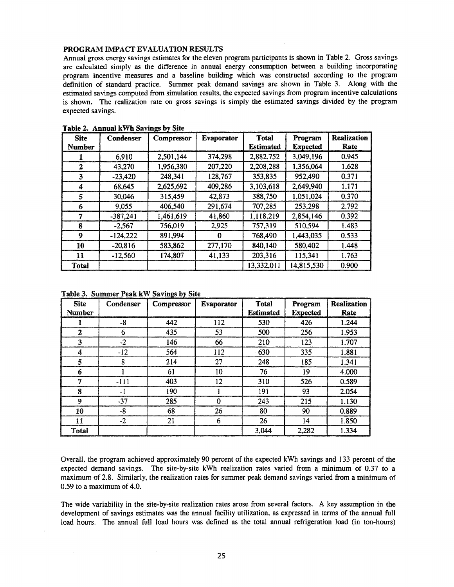## PROGRAM IMPACT EVALUATION RESULTS

Annual gross energy savings estimates for the eleven program participants is shown in Table 2. Gross savings are calculated simply as the difference in annual energy consumption between a building incorporating program incentive measures and a baseline building which was constructed according to the program definition of standard practice. Summer peak demand savings are shown in Table 3. Along with the estimated savings computed from simulation results, the expected savings from program incentive calculations is shown. The realization rate on gross savings is simply the estimated savings divided by the program expected savings.

| <b>Site</b>   | Condenser  | Compressor | Evaporator | <b>Total</b>     | Program         | <b>Realization</b> |
|---------------|------------|------------|------------|------------------|-----------------|--------------------|
| <b>Number</b> |            |            |            | <b>Estimated</b> | <b>Expected</b> | Rate               |
|               | 6.910      | 2,501,144  | 374,298    | 2,882,752        | 3,049,196       | 0.945              |
| $\mathbf{2}$  | 43,270     | 1,956,380  | 207,220    | 2,208,288        | 1,356,064       | 1.628              |
| 3             | $-23,420$  | 248,341    | 128,767    | 353,835          | 952,490         | 0.371              |
| 4             | 68,645     | 2,625,692  | 409,286    | 3,103,618        | 2,649,940       | 1.171              |
| 5             | 30,046     | 315,459    | 42,873     | 388,750          | 1,051,024       | 0.370              |
| 6             | 9,055      | 406,540    | 291,674    | 707,285          | 253,298         | 2.792              |
| 7             | $-387,241$ | 1,461,619  | 41,860     | 1,118,219        | 2,854,146       | 0.392              |
| 8             | $-2,567$   | 756,019    | 2,925      | 757,319          | 510,594         | 1.483              |
| 9             | $-124,222$ | 891,994    | 0          | 768,490          | 1,443,035       | 0.533              |
| 10            | $-20,816$  | 583.862    | 277,170    | 840,140          | 580,402         | 1.448              |
| 11            | $-12,560$  | 174,807    | 41,133     | 203,316          | 115,341         | 1.763              |
| <b>Total</b>  |            |            |            | 13,332,011       | 14,815,530      | 0.900              |

Table 2. Annual kWh Savings by Site

| Table 3. Summer Peak kW Savings by Site |  |  |  |
|-----------------------------------------|--|--|--|
|                                         |  |  |  |

| Site<br><b>Number</b> | Condenser | - - - - - - -<br><b>Compressor</b> | <b>Evaporator</b> | <b>Total</b><br><b>Estimated</b> | Program<br><b>Expected</b> | <b>Realization</b><br>Rate |
|-----------------------|-----------|------------------------------------|-------------------|----------------------------------|----------------------------|----------------------------|
|                       | -8        | 442                                | 112               | 530                              | 426                        | 1.244                      |
| $\boldsymbol{2}$      | 6         | 435                                | 53                | 500                              | 256                        | 1.953                      |
| 3                     | $-2$      | 146                                | 66                | 210                              | 123                        | 1.707                      |
| 4                     | $-12$     | 564                                | 112               | 630                              | 335                        | 1.881                      |
| 5                     | 8         | 214                                | 27                | 248                              | 185                        | 1.341                      |
| 6                     |           | 61                                 | 10                | 76                               | 19                         | 4.000                      |
| m                     | $-111$    | 403                                | 12                | 310                              | 526                        | 0.589                      |
| 8                     | -1        | 190                                |                   | 191                              | 93                         | 2.054                      |
| 9                     | $-37$     | 285                                | $\Omega$          | 243                              | 215                        | 1.130                      |
| 10                    | -8        | 68                                 | 26                | 80                               | 90                         | 0.889                      |
| 11                    | $-2$      | 21                                 | 6                 | 26                               | 14                         | 1.850                      |
| <b>Total</b>          |           |                                    |                   | 3,044                            | 2,282                      | 1.334                      |

Overall, the program achieved approximately 90 percent of the expected kWh savings and 133 percent of the expected demand savings. The site-by-site kWh realization rates varied from a minimum of 0.37 to a maximum of 2.8. Similarly, the realization rates for summer peak demand savings varied from a minimum of  $0.59$  to a maximum of 4.0.

The wide variability in the site-by-site realization rates arose from several factors. A key assumption in the development of savings estimates was the annual facility utilization, as expressed in terms of the annual full load hours. The annual full load hours was defined as the total annual refrigeration load (in ton-hours)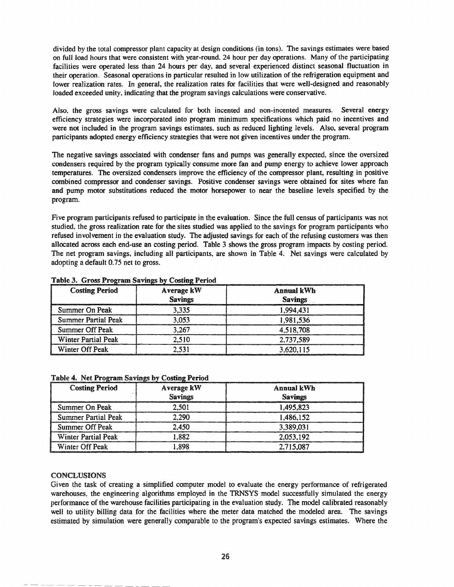divided by the total compressor plant capacity at design conditions (in tons). The savings estimates were based on full load hours that were consistent with year-round\_ 24 hour per day operations. Many of the participating facilities were operated less than 24 hours per day, and several experienced distinct seasonal fluctuation in their operation. Seasonal operations in particular resulted in low utilization of the refrigeration equipment and lower realization rates. In general, the realization rates for facilities that were well-designed and reasonably loaded exceeded unity, indicating that the program savings calculations were conservative.

Also, the gross savings were calculated for both incented and non-incented measures. Several energy efficiency strategies were incorporated into program minimum specifications which paid no incentives and were not included in the program savings estimates, such as reduced lighting levels. Also, several program participants adopted energy efficiency strategies that were not given incentives under the program.

The negative savings associated with condenser fans and pumps was generally expected, since the oversized condensers required by the program typically consume more fan and pump energy to achieve lower approach temperatures. The oversized condensers improve the efficiency of the compressor plant, resulting in positive combined compressor and condenser savings. Positive condenser savings were obtained for sites where fan and pump motor substitutions reduced the motor horsepower to near the baseline levels specified by the program.

Five program participants refused to participate in the evaluation. Since the full census of participants was not studied, the gross realization rate for the sites studied was applied to the savings for program participants who refused involvement in the evaluation study. The adjusted savings for each of the refusing customers was then allocated across each end-use an costing period. Table 3 shows the gross program impacts by costing period. The net program savings, including all participants, are shown in Table 4. Net savings were calculated by adopting a default 0.75 net to gross.

| <b>Costing Period</b>      | Average kW<br><b>Savings</b> | Annual kWh<br><b>Savings</b> |
|----------------------------|------------------------------|------------------------------|
| Summer On Peak             | 3.335                        | 1.994.431                    |
| <b>Summer Partial Peak</b> | 3.053                        | 1.981.536                    |
| Summer Off Peak            | 3.267                        | 4.518.708                    |
| <b>Winter Partial Peak</b> | 2.510                        | 2,737,589                    |
| Winter Off Peak            |                              | 3,620,115                    |

## Table 3. Gross Program Savings by Costing Period

Table 4. Net Program Savings by Costing Period

| <b>Costing Period</b> | Average kW     |  |
|-----------------------|----------------|--|
|                       | <b>Savings</b> |  |

| <b>Costing Period</b>      | Average kW     | Annual kWh     |
|----------------------------|----------------|----------------|
|                            | <b>Savings</b> | <b>Savings</b> |
| Summer On Peak             | 2,501          | 1,495,823      |
| Summer Partial Peak        | 2.290          | 1,486,152      |
| Summer Off Peak            | 2.450          | 3,389,031      |
| <b>Winter Partial Peak</b> | .882           | 2.053.192      |
| Winter Off Peak            | 898.⊺          | 2,715,087      |

# CONCLUSIONS

Given the task of creating a simplified computer model to evaluate the energy performance of refrigerated warehouses, the engineering algorithms employed in the TRNSYS model successfully simulated the energy performance ofthe warehouse facilities participating in the evaluation study. The model calibrated reasonably well to utility billing data for the facilities where the meter data matched the modeled area. The savings estimated by simulation were generally comparable to the program's expected savings estimates. Where the